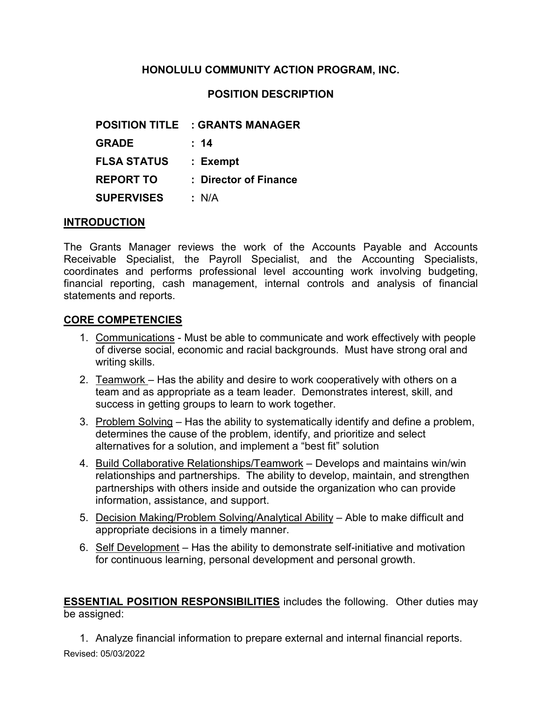# **HONOLULU COMMUNITY ACTION PROGRAM, INC.**

# **POSITION DESCRIPTION**

| <b>POSITION TITLE</b> | : GRANTS MANAGER      |
|-----------------------|-----------------------|
| <b>GRADE</b>          | : 14                  |
| <b>FLSA STATUS</b>    | : Exempt              |
| <b>REPORT TO</b>      | : Director of Finance |
| <b>SUPERVISES</b>     | : N/A                 |

## **INTRODUCTION**

The Grants Manager reviews the work of the Accounts Payable and Accounts Receivable Specialist, the Payroll Specialist, and the Accounting Specialists, coordinates and performs professional level accounting work involving budgeting, financial reporting, cash management, internal controls and analysis of financial statements and reports.

#### **CORE COMPETENCIES**

- 1. Communications Must be able to communicate and work effectively with people of diverse social, economic and racial backgrounds. Must have strong oral and writing skills.
- 2. Teamwork Has the ability and desire to work cooperatively with others on a team and as appropriate as a team leader. Demonstrates interest, skill, and success in getting groups to learn to work together.
- 3. Problem Solving Has the ability to systematically identify and define a problem, determines the cause of the problem, identify, and prioritize and select alternatives for a solution, and implement a "best fit" solution
- 4. Build Collaborative Relationships/Teamwork Develops and maintains win/win relationships and partnerships. The ability to develop, maintain, and strengthen partnerships with others inside and outside the organization who can provide information, assistance, and support.
- 5. Decision Making/Problem Solving/Analytical Ability Able to make difficult and appropriate decisions in a timely manner.
- 6. Self Development Has the ability to demonstrate self-initiative and motivation for continuous learning, personal development and personal growth.

**ESSENTIAL POSITION RESPONSIBILITIES** includes the following. Other duties may be assigned:

Revised: 05/03/2022 1. Analyze financial information to prepare external and internal financial reports.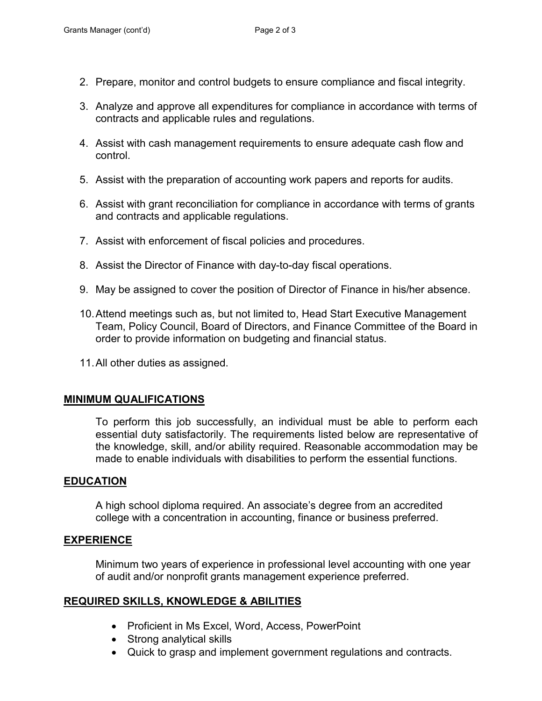- 2. Prepare, monitor and control budgets to ensure compliance and fiscal integrity.
- 3. Analyze and approve all expenditures for compliance in accordance with terms of contracts and applicable rules and regulations.
- 4. Assist with cash management requirements to ensure adequate cash flow and control.
- 5. Assist with the preparation of accounting work papers and reports for audits.
- 6. Assist with grant reconciliation for compliance in accordance with terms of grants and contracts and applicable regulations.
- 7. Assist with enforcement of fiscal policies and procedures.
- 8. Assist the Director of Finance with day-to-day fiscal operations.
- 9. May be assigned to cover the position of Director of Finance in his/her absence.
- 10.Attend meetings such as, but not limited to, Head Start Executive Management Team, Policy Council, Board of Directors, and Finance Committee of the Board in order to provide information on budgeting and financial status.
- 11.All other duties as assigned.

#### **MINIMUM QUALIFICATIONS**

To perform this job successfully, an individual must be able to perform each essential duty satisfactorily. The requirements listed below are representative of the knowledge, skill, and/or ability required. Reasonable accommodation may be made to enable individuals with disabilities to perform the essential functions.

## **EDUCATION**

A high school diploma required. An associate's degree from an accredited college with a concentration in accounting, finance or business preferred.

## **EXPERIENCE**

Minimum two years of experience in professional level accounting with one year of audit and/or nonprofit grants management experience preferred.

## **REQUIRED SKILLS, KNOWLEDGE & ABILITIES**

- Proficient in Ms Excel, Word, Access, PowerPoint
- Strong analytical skills
- Quick to grasp and implement government regulations and contracts.